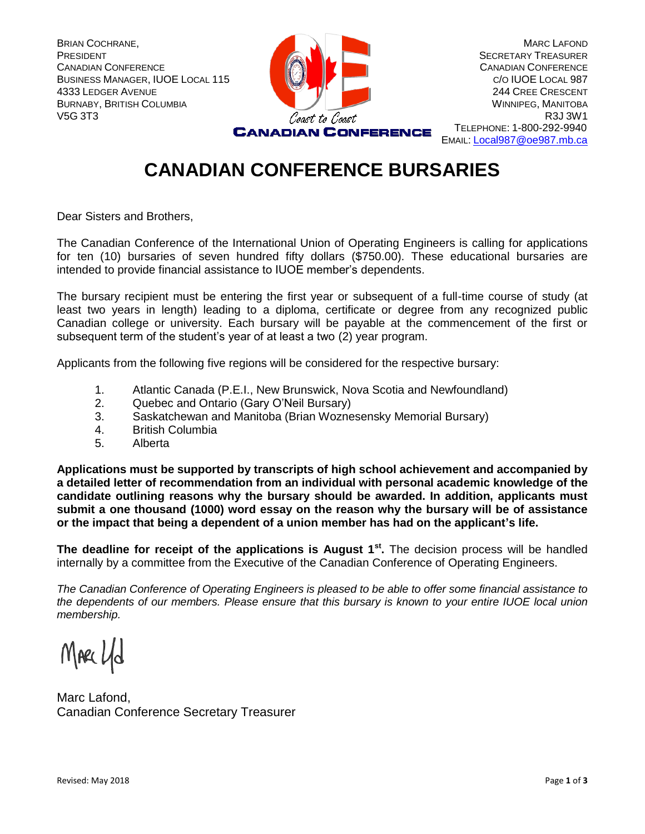

EMAIL: [Local987@oe987.mb.ca](mailto:Local987@oe987.mb.ca)

## **CANADIAN CONFERENCE BURSARIES**

Dear Sisters and Brothers,

The Canadian Conference of the International Union of Operating Engineers is calling for applications for ten (10) bursaries of seven hundred fifty dollars (\$750.00). These educational bursaries are intended to provide financial assistance to IUOE member's dependents.

The bursary recipient must be entering the first year or subsequent of a full-time course of study (at least two years in length) leading to a diploma, certificate or degree from any recognized public Canadian college or university. Each bursary will be payable at the commencement of the first or subsequent term of the student's year of at least a two (2) year program.

Applicants from the following five regions will be considered for the respective bursary:

- 1. Atlantic Canada (P.E.I., New Brunswick, Nova Scotia and Newfoundland)
- 2. Quebec and Ontario (Gary O'Neil Bursary)
- 3. Saskatchewan and Manitoba (Brian Woznesensky Memorial Bursary)
- 4. British Columbia
- 5. Alberta

**Applications must be supported by transcripts of high school achievement and accompanied by a detailed letter of recommendation from an individual with personal academic knowledge of the candidate outlining reasons why the bursary should be awarded. In addition, applicants must submit a one thousand (1000) word essay on the reason why the bursary will be of assistance or the impact that being a dependent of a union member has had on the applicant's life.**

**The deadline for receipt of the applications is August 1st .** The decision process will be handled internally by a committee from the Executive of the Canadian Conference of Operating Engineers.

*The Canadian Conference of Operating Engineers is pleased to be able to offer some financial assistance to the dependents of our members. Please ensure that this bursary is known to your entire IUOE local union membership.*

MARC Ud

Marc Lafond, Canadian Conference Secretary Treasurer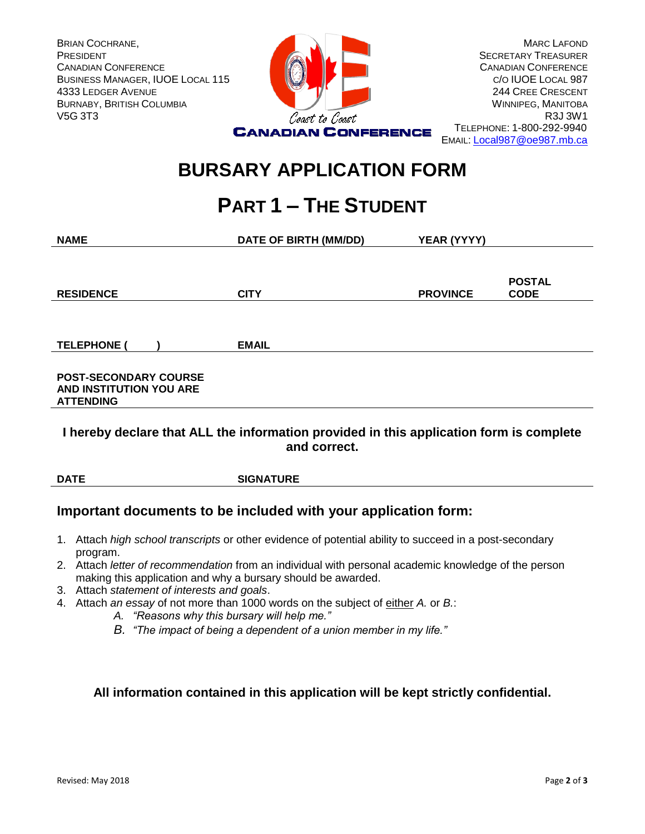

EMAIL: [Local987@oe987.mb.ca](mailto:Local987@oe987.mb.ca)

## **BURSARY APPLICATION FORM**

# **PART 1 – THE STUDENT**

| <b>NAME</b>                                                                 | <b>DATE OF BIRTH (MM/DD)</b> | YEAR (YYYY)     |                              |
|-----------------------------------------------------------------------------|------------------------------|-----------------|------------------------------|
|                                                                             |                              |                 |                              |
| <b>RESIDENCE</b>                                                            | <b>CITY</b>                  | <b>PROVINCE</b> | <b>POSTAL</b><br><b>CODE</b> |
|                                                                             |                              |                 |                              |
|                                                                             |                              |                 |                              |
| <b>TELEPHONE</b>                                                            | <b>EMAIL</b>                 |                 |                              |
| <b>POST-SECONDARY COURSE</b><br>AND INSTITUTION YOU ARE<br><b>ATTENDING</b> |                              |                 |                              |

#### **I hereby declare that ALL the information provided in this application form is complete and correct.**

**DATE SIGNATURE**

### **Important documents to be included with your application form:**

- 1. Attach *high school transcripts* or other evidence of potential ability to succeed in a post-secondary program.
- 2. Attach *letter of recommendation* from an individual with personal academic knowledge of the person making this application and why a bursary should be awarded.
- 3. Attach *statement of interests and goals*.
- 4. Attach *an essay* of not more than 1000 words on the subject of either *A.* or *B.*:
	- *A. "Reasons why this bursary will help me."*
	- *B. "The impact of being a dependent of a union member in my life."*

#### **All information contained in this application will be kept strictly confidential.**